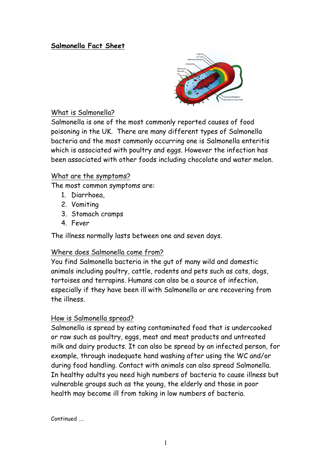# **Salmonella Fact Sheet**



### What is Salmonella?

Salmonella is one of the most commonly reported causes of food poisoning in the UK. There are many different types of Salmonella bacteria and the most commonly occurring one is Salmonella enteritis which is associated with poultry and eggs. However the infection has been associated with other foods including chocolate and water melon.

### What are the symptoms?

The most common symptoms are:

- 1. Diarrhoea,
- 2. Vomiting
- 3. Stomach cramps
- 4. Fever

The illness normally lasts between one and seven days.

# Where does Salmonella come from?

You find Salmonella bacteria in the gut of many wild and domestic animals including poultry, cattle, rodents and pets such as cats, dogs, tortoises and terrapins. Humans can also be a source of infection, especially if they have been ill with Salmonella or are recovering from the illness.

# How is Salmonella spread?

Salmonella is spread by eating contaminated food that is undercooked or raw such as poultry, eggs, meat and meat products and untreated milk and dairy products. It can also be spread by an infected person, for example, through inadequate hand washing after using the WC and/or during food handling. Contact with animals can also spread Salmonella. In healthy adults you need high numbers of bacteria to cause illness but vulnerable groups such as the young, the elderly and those in poor health may become ill from taking in low numbers of bacteria.

Continued ….